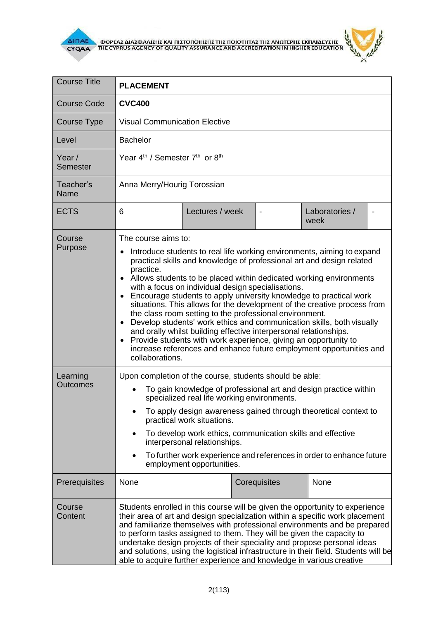



| <b>Course Title</b>  | <b>PLACEMENT</b>                                                                                                                                                                                                                                                                                                                                                                                                                                                                                                                                                                                                                                                                                                                                                                                                                                                      |                 |                |                        |  |  |
|----------------------|-----------------------------------------------------------------------------------------------------------------------------------------------------------------------------------------------------------------------------------------------------------------------------------------------------------------------------------------------------------------------------------------------------------------------------------------------------------------------------------------------------------------------------------------------------------------------------------------------------------------------------------------------------------------------------------------------------------------------------------------------------------------------------------------------------------------------------------------------------------------------|-----------------|----------------|------------------------|--|--|
| Course Code          | <b>CVC400</b>                                                                                                                                                                                                                                                                                                                                                                                                                                                                                                                                                                                                                                                                                                                                                                                                                                                         |                 |                |                        |  |  |
| Course Type          | <b>Visual Communication Elective</b>                                                                                                                                                                                                                                                                                                                                                                                                                                                                                                                                                                                                                                                                                                                                                                                                                                  |                 |                |                        |  |  |
| Level                | <b>Bachelor</b>                                                                                                                                                                                                                                                                                                                                                                                                                                                                                                                                                                                                                                                                                                                                                                                                                                                       |                 |                |                        |  |  |
| Year /<br>Semester   | Year 4 <sup>th</sup> / Semester 7 <sup>th</sup> or 8 <sup>th</sup>                                                                                                                                                                                                                                                                                                                                                                                                                                                                                                                                                                                                                                                                                                                                                                                                    |                 |                |                        |  |  |
| Teacher's<br>Name    | Anna Merry/Hourig Torossian                                                                                                                                                                                                                                                                                                                                                                                                                                                                                                                                                                                                                                                                                                                                                                                                                                           |                 |                |                        |  |  |
| <b>ECTS</b>          | 6                                                                                                                                                                                                                                                                                                                                                                                                                                                                                                                                                                                                                                                                                                                                                                                                                                                                     | Lectures / week | $\blacksquare$ | Laboratories /<br>week |  |  |
| Course<br>Purpose    | The course aims to:<br>Introduce students to real life working environments, aiming to expand<br>practical skills and knowledge of professional art and design related<br>practice.<br>• Allows students to be placed within dedicated working environments<br>with a focus on individual design specialisations.<br>• Encourage students to apply university knowledge to practical work<br>situations. This allows for the development of the creative process from<br>the class room setting to the professional environment.<br>Develop students' work ethics and communication skills, both visually<br>$\bullet$<br>and orally whilst building effective interpersonal relationships.<br>Provide students with work experience, giving an opportunity to<br>$\bullet$<br>increase references and enhance future employment opportunities and<br>collaborations. |                 |                |                        |  |  |
| Learning<br>Outcomes | Upon completion of the course, students should be able:<br>To gain knowledge of professional art and design practice within<br>specialized real life working environments.<br>To apply design awareness gained through theoretical context to<br>practical work situations.<br>To develop work ethics, communication skills and effective<br>interpersonal relationships.<br>To further work experience and references in order to enhance future<br>employment opportunities.                                                                                                                                                                                                                                                                                                                                                                                        |                 |                |                        |  |  |
| Prerequisites        | None                                                                                                                                                                                                                                                                                                                                                                                                                                                                                                                                                                                                                                                                                                                                                                                                                                                                  |                 | Corequisites   | None                   |  |  |
| Course<br>Content    | Students enrolled in this course will be given the opportunity to experience<br>their area of art and design specialization within a specific work placement<br>and familiarize themselves with professional environments and be prepared<br>to perform tasks assigned to them. They will be given the capacity to<br>undertake design projects of their speciality and propose personal ideas<br>and solutions, using the logistical infrastructure in their field. Students will be<br>able to acquire further experience and knowledge in various creative                                                                                                                                                                                                                                                                                                         |                 |                |                        |  |  |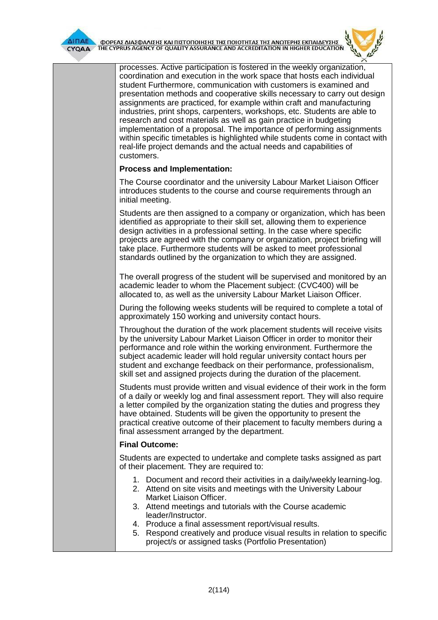

 $\overline{\Delta}$ INAE OOPEAE AIAE DANIEHE KAI NIETONOIHEHE THE NOIOTHTAE THE ANOTEPHE EKNAIAEYEHE



| processes. Active participation is fostered in the weekly organization,<br>coordination and execution in the work space that hosts each individual<br>student Furthermore, communication with customers is examined and<br>presentation methods and cooperative skills necessary to carry out design<br>assignments are practiced, for example within craft and manufacturing<br>industries, print shops, carpenters, workshops, etc. Students are able to<br>research and cost materials as well as gain practice in budgeting<br>implementation of a proposal. The importance of performing assignments<br>within specific timetables is highlighted while students come in contact with<br>real-life project demands and the actual needs and capabilities of<br>customers. |
|--------------------------------------------------------------------------------------------------------------------------------------------------------------------------------------------------------------------------------------------------------------------------------------------------------------------------------------------------------------------------------------------------------------------------------------------------------------------------------------------------------------------------------------------------------------------------------------------------------------------------------------------------------------------------------------------------------------------------------------------------------------------------------|
| <b>Process and Implementation:</b>                                                                                                                                                                                                                                                                                                                                                                                                                                                                                                                                                                                                                                                                                                                                             |
| The Course coordinator and the university Labour Market Liaison Officer<br>introduces students to the course and course requirements through an<br>initial meeting.                                                                                                                                                                                                                                                                                                                                                                                                                                                                                                                                                                                                            |
| Students are then assigned to a company or organization, which has been<br>identified as appropriate to their skill set, allowing them to experience<br>design activities in a professional setting. In the case where specific<br>projects are agreed with the company or organization, project briefing will<br>take place. Furthermore students will be asked to meet professional<br>standards outlined by the organization to which they are assigned.                                                                                                                                                                                                                                                                                                                    |
| The overall progress of the student will be supervised and monitored by an<br>academic leader to whom the Placement subject: (CVC400) will be<br>allocated to, as well as the university Labour Market Liaison Officer.                                                                                                                                                                                                                                                                                                                                                                                                                                                                                                                                                        |
| During the following weeks students will be required to complete a total of<br>approximately 150 working and university contact hours.                                                                                                                                                                                                                                                                                                                                                                                                                                                                                                                                                                                                                                         |
| Throughout the duration of the work placement students will receive visits<br>by the university Labour Market Liaison Officer in order to monitor their<br>performance and role within the working environment. Furthermore the<br>subject academic leader will hold regular university contact hours per<br>student and exchange feedback on their performance, professionalism,<br>skill set and assigned projects during the duration of the placement.                                                                                                                                                                                                                                                                                                                     |
| Students must provide written and visual evidence of their work in the form<br>of a daily or weekly log and final assessment report. They will also require<br>a letter compiled by the organization stating the duties and progress they<br>have obtained. Students will be given the opportunity to present the<br>practical creative outcome of their placement to faculty members during a<br>final assessment arranged by the department.                                                                                                                                                                                                                                                                                                                                 |
| <b>Final Outcome:</b>                                                                                                                                                                                                                                                                                                                                                                                                                                                                                                                                                                                                                                                                                                                                                          |
| Students are expected to undertake and complete tasks assigned as part<br>of their placement. They are required to:                                                                                                                                                                                                                                                                                                                                                                                                                                                                                                                                                                                                                                                            |
| 1. Document and record their activities in a daily/weekly learning-log.<br>2. Attend on site visits and meetings with the University Labour<br>Market Liaison Officer.<br>3. Attend meetings and tutorials with the Course academic<br>leader/Instructor.                                                                                                                                                                                                                                                                                                                                                                                                                                                                                                                      |
| 4. Produce a final assessment report/visual results.<br>5. Respond creatively and produce visual results in relation to specific<br>project/s or assigned tasks (Portfolio Presentation)                                                                                                                                                                                                                                                                                                                                                                                                                                                                                                                                                                                       |